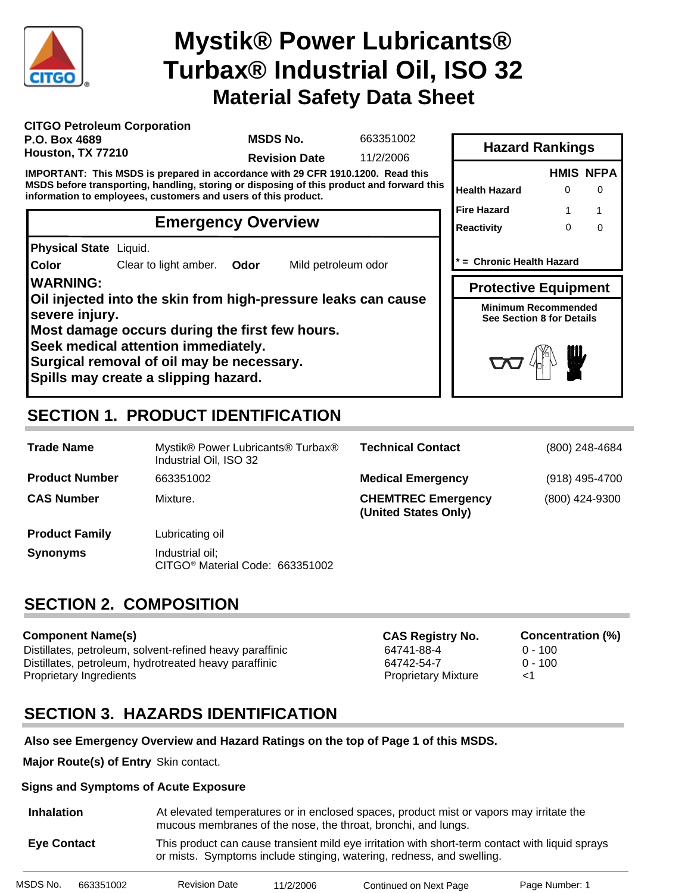

# **Material Safety Data Sheet Mystik® Power Lubricants® Turbax® Industrial Oil, ISO 32**

| <b>CITGO Petroleum Corporation</b> |  |
|------------------------------------|--|
| P.O. Box 4689                      |  |
| Houston, TX 77210                  |  |

**MSDS No.**

663351002

**Revision Date** 11/2/2006

**IMPORTANT: This MSDS is prepared in accordance with 29 CFR 1910.1200. Read this MSDS before transporting, handling, storing or disposing of this product and forward this information to employees, customers and users of this product.**

## **Emergency Overview**

**Physical State** Liquid.

**Color** Clear to light amber. **Odor** Mild petroleum odor

### **WARNING:**

**Oil injected into the skin from high-pressure leaks can cause severe injury.**

**Most damage occurs during the first few hours.**

**Seek medical attention immediately.**

**Surgical removal of oil may be necessary.**

**Spills may create a slipping hazard.**

# **SECTION 1. PRODUCT IDENTIFICATION**

| <b>Trade Name</b>     | Mystik® Power Lubricants® Turbax®<br>Industrial Oil, ISO 32    | <b>Technical Contact</b>                          | (800) 248-4684 |
|-----------------------|----------------------------------------------------------------|---------------------------------------------------|----------------|
| <b>Product Number</b> | 663351002                                                      | <b>Medical Emergency</b>                          | (918) 495-4700 |
| <b>CAS Number</b>     | Mixture.                                                       | <b>CHEMTREC Emergency</b><br>(United States Only) | (800) 424-9300 |
| <b>Product Family</b> | Lubricating oil                                                |                                                   |                |
| <b>Synonyms</b>       | Industrial oil;<br>CITGO <sup>®</sup> Material Code: 663351002 |                                                   |                |

# **SECTION 2. COMPOSITION**

### **Component Name(s)**

Distillates, petroleum, solvent-refined heavy paraffinic 64741-88-4 0 - 100 Distillates, petroleum, hydrotreated heavy paraffinic 64742-54-7 0 - 100 Proprietary Ingredients Proprietary Mixture <1

**CAS Registry No. Concentration (%)**

# **SECTION 3. HAZARDS IDENTIFICATION**

### **Also see Emergency Overview and Hazard Ratings on the top of Page 1 of this MSDS.**

**Major Route(s) of Entry** Skin contact.

### **Signs and Symptoms of Acute Exposure**

| <b>Inhalation</b>  | At elevated temperatures or in enclosed spaces, product mist or vapors may irritate the<br>mucous membranes of the nose, the throat, bronchi, and lungs.                 |
|--------------------|--------------------------------------------------------------------------------------------------------------------------------------------------------------------------|
| <b>Eve Contact</b> | This product can cause transient mild eye irritation with short-term contact with liquid sprays<br>or mists. Symptoms include stinging, watering, redness, and swelling. |

| MSDS No. | 663351002 | <b>Revision Date</b> | 11/2/2006 | Continued on Next Page | Page Number: 1 |
|----------|-----------|----------------------|-----------|------------------------|----------------|

|                                                         |   | <b>HMIS NFPA</b> |
|---------------------------------------------------------|---|------------------|
| Health Hazard                                           | ∩ |                  |
| Fire Hazard                                             | 1 |                  |
| Reactivity                                              | O | ი                |
| = Chronic Health Hazard                                 |   |                  |
|                                                         |   |                  |
| <b>Protective Equipment</b>                             |   |                  |
| Minimum Recommended<br><b>See Section 8 for Details</b> |   |                  |

**Hazard Rankings**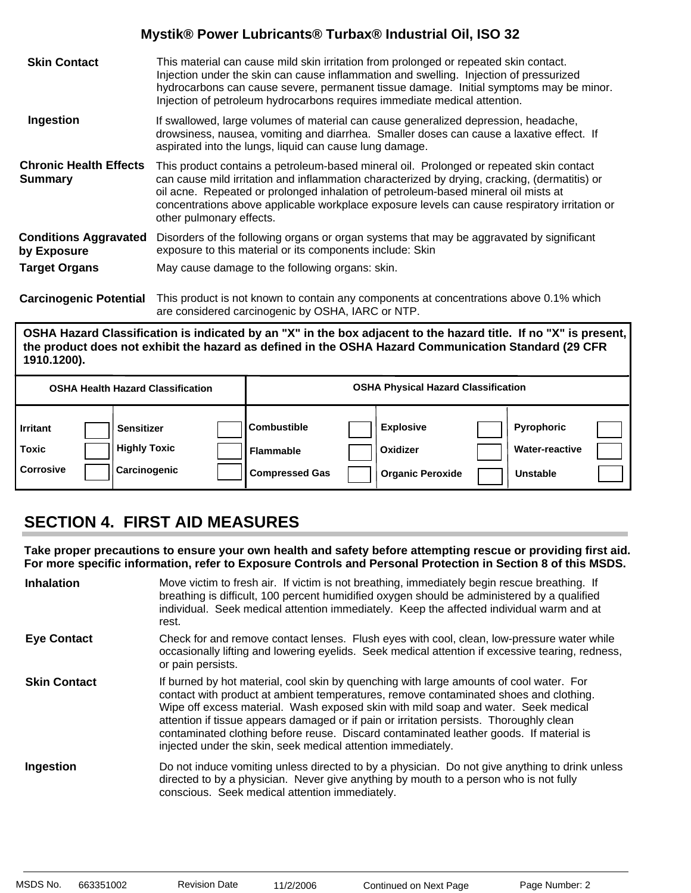| <b>Skin Contact</b>                             | This material can cause mild skin irritation from prolonged or repeated skin contact.<br>Injection under the skin can cause inflammation and swelling. Injection of pressurized<br>hydrocarbons can cause severe, permanent tissue damage. Initial symptoms may be minor.<br>Injection of petroleum hydrocarbons requires immediate medical attention.                                                      |
|-------------------------------------------------|-------------------------------------------------------------------------------------------------------------------------------------------------------------------------------------------------------------------------------------------------------------------------------------------------------------------------------------------------------------------------------------------------------------|
| Ingestion                                       | If swallowed, large volumes of material can cause generalized depression, headache,<br>drowsiness, nausea, vomiting and diarrhea. Smaller doses can cause a laxative effect. If<br>aspirated into the lungs, liquid can cause lung damage.                                                                                                                                                                  |
| <b>Chronic Health Effects</b><br><b>Summary</b> | This product contains a petroleum-based mineral oil. Prolonged or repeated skin contact<br>can cause mild irritation and inflammation characterized by drying, cracking, (dermatitis) or<br>oil acne. Repeated or prolonged inhalation of petroleum-based mineral oil mists at<br>concentrations above applicable workplace exposure levels can cause respiratory irritation or<br>other pulmonary effects. |
| <b>Conditions Aggravated</b><br>by Exposure     | Disorders of the following organs or organ systems that may be aggravated by significant<br>exposure to this material or its components include: Skin                                                                                                                                                                                                                                                       |
| <b>Target Organs</b>                            | May cause damage to the following organs: skin.                                                                                                                                                                                                                                                                                                                                                             |
|                                                 |                                                                                                                                                                                                                                                                                                                                                                                                             |

**Carcinogenic Potential** This product is not known to contain any components at concentrations above 0.1% which are considered carcinogenic by OSHA, IARC or NTP.

**OSHA Hazard Classification is indicated by an "X" in the box adjacent to the hazard title. If no "X" is present, the product does not exhibit the hazard as defined in the OSHA Hazard Communication Standard (29 CFR 1910.1200).**

|                                              | <b>OSHA Health Hazard Classification</b>                 |                                                                 | <b>OSHA Physical Hazard Classification</b>              |                                                        |  |
|----------------------------------------------|----------------------------------------------------------|-----------------------------------------------------------------|---------------------------------------------------------|--------------------------------------------------------|--|
| <b>Irritant</b><br>Toxic<br><b>Corrosive</b> | <b>Sensitizer</b><br><b>Highly Toxic</b><br>Carcinogenic | <b>Combustible</b><br><b>Flammable</b><br><b>Compressed Gas</b> | <b>Explosive</b><br>Oxidizer<br><b>Organic Peroxide</b> | Pyrophoric<br><b>Water-reactive</b><br><b>Unstable</b> |  |

# **SECTION 4. FIRST AID MEASURES**

**Take proper precautions to ensure your own health and safety before attempting rescue or providing first aid. For more specific information, refer to Exposure Controls and Personal Protection in Section 8 of this MSDS.**

| <b>Inhalation</b>   | Move victim to fresh air. If victim is not breathing, immediately begin rescue breathing. If<br>breathing is difficult, 100 percent humidified oxygen should be administered by a qualified<br>individual. Seek medical attention immediately. Keep the affected individual warm and at<br>rest.                                                                                                                                                                                                                            |
|---------------------|-----------------------------------------------------------------------------------------------------------------------------------------------------------------------------------------------------------------------------------------------------------------------------------------------------------------------------------------------------------------------------------------------------------------------------------------------------------------------------------------------------------------------------|
| <b>Eye Contact</b>  | Check for and remove contact lenses. Flush eyes with cool, clean, low-pressure water while<br>occasionally lifting and lowering eyelids. Seek medical attention if excessive tearing, redness,<br>or pain persists.                                                                                                                                                                                                                                                                                                         |
| <b>Skin Contact</b> | If burned by hot material, cool skin by quenching with large amounts of cool water. For<br>contact with product at ambient temperatures, remove contaminated shoes and clothing.<br>Wipe off excess material. Wash exposed skin with mild soap and water. Seek medical<br>attention if tissue appears damaged or if pain or irritation persists. Thoroughly clean<br>contaminated clothing before reuse. Discard contaminated leather goods. If material is<br>injected under the skin, seek medical attention immediately. |
| Ingestion           | Do not induce vomiting unless directed to by a physician. Do not give anything to drink unless<br>directed to by a physician. Never give anything by mouth to a person who is not fully<br>conscious. Seek medical attention immediately.                                                                                                                                                                                                                                                                                   |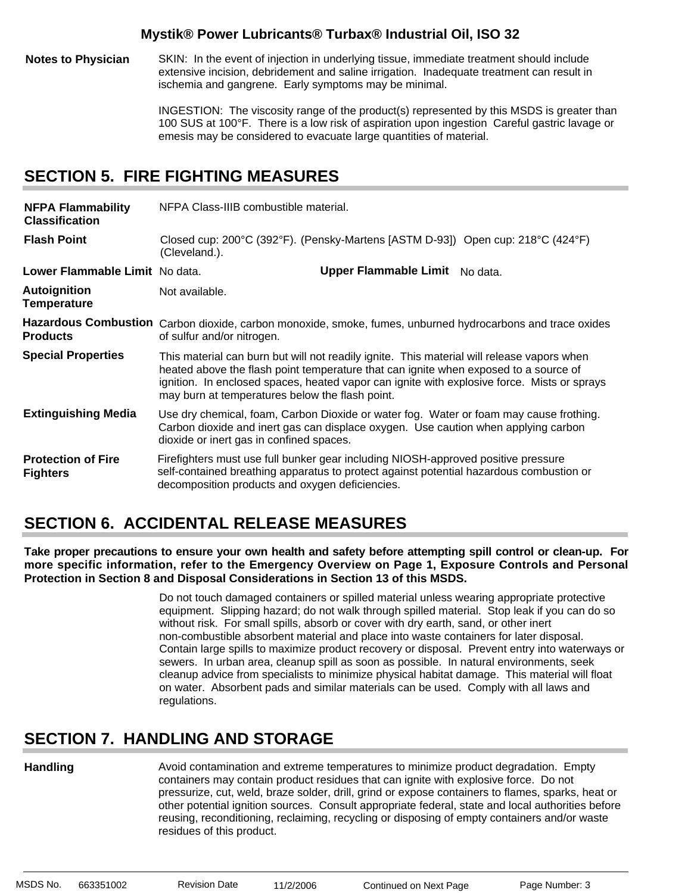**Notes to Physician** SKIN: In the event of injection in underlying tissue, immediate treatment should include extensive incision, debridement and saline irrigation. Inadequate treatment can result in ischemia and gangrene. Early symptoms may be minimal.

> INGESTION: The viscosity range of the product(s) represented by this MSDS is greater than 100 SUS at 100°F. There is a low risk of aspiration upon ingestion Careful gastric lavage or emesis may be considered to evacuate large quantities of material.

### **SECTION 5. FIRE FIGHTING MEASURES**

| <b>NFPA Flammability</b><br><b>Classification</b> | NFPA Class-IIIB combustible material.                                                                                                                                                                                                                                                                                                |                                |  |
|---------------------------------------------------|--------------------------------------------------------------------------------------------------------------------------------------------------------------------------------------------------------------------------------------------------------------------------------------------------------------------------------------|--------------------------------|--|
| <b>Flash Point</b>                                | Closed cup: 200°C (392°F). (Pensky-Martens [ASTM D-93]) Open cup: 218°C (424°F)<br>(Cleveland.).                                                                                                                                                                                                                                     |                                |  |
| Lower Flammable Limit No data.                    |                                                                                                                                                                                                                                                                                                                                      | Upper Flammable Limit No data. |  |
| <b>Autoignition</b><br><b>Temperature</b>         | Not available.                                                                                                                                                                                                                                                                                                                       |                                |  |
| <b>Products</b>                                   | Hazardous Combustion Carbon dioxide, carbon monoxide, smoke, fumes, unburned hydrocarbons and trace oxides<br>of sulfur and/or nitrogen.                                                                                                                                                                                             |                                |  |
| <b>Special Properties</b>                         | This material can burn but will not readily ignite. This material will release vapors when<br>heated above the flash point temperature that can ignite when exposed to a source of<br>ignition. In enclosed spaces, heated vapor can ignite with explosive force. Mists or sprays<br>may burn at temperatures below the flash point. |                                |  |
| <b>Extinguishing Media</b>                        | Use dry chemical, foam, Carbon Dioxide or water fog. Water or foam may cause frothing.<br>Carbon dioxide and inert gas can displace oxygen. Use caution when applying carbon<br>dioxide or inert gas in confined spaces.                                                                                                             |                                |  |
| <b>Protection of Fire</b><br><b>Fighters</b>      | Firefighters must use full bunker gear including NIOSH-approved positive pressure<br>self-contained breathing apparatus to protect against potential hazardous combustion or<br>decomposition products and oxygen deficiencies.                                                                                                      |                                |  |

# **SECTION 6. ACCIDENTAL RELEASE MEASURES**

**Take proper precautions to ensure your own health and safety before attempting spill control or clean-up. For more specific information, refer to the Emergency Overview on Page 1, Exposure Controls and Personal Protection in Section 8 and Disposal Considerations in Section 13 of this MSDS.**

> Do not touch damaged containers or spilled material unless wearing appropriate protective equipment. Slipping hazard; do not walk through spilled material. Stop leak if you can do so without risk. For small spills, absorb or cover with dry earth, sand, or other inert non-combustible absorbent material and place into waste containers for later disposal. Contain large spills to maximize product recovery or disposal. Prevent entry into waterways or sewers. In urban area, cleanup spill as soon as possible. In natural environments, seek cleanup advice from specialists to minimize physical habitat damage. This material will float on water. Absorbent pads and similar materials can be used. Comply with all laws and regulations.

# **SECTION 7. HANDLING AND STORAGE**

### **Handling**

Avoid contamination and extreme temperatures to minimize product degradation. Empty containers may contain product residues that can ignite with explosive force. Do not pressurize, cut, weld, braze solder, drill, grind or expose containers to flames, sparks, heat or other potential ignition sources. Consult appropriate federal, state and local authorities before reusing, reconditioning, reclaiming, recycling or disposing of empty containers and/or waste residues of this product.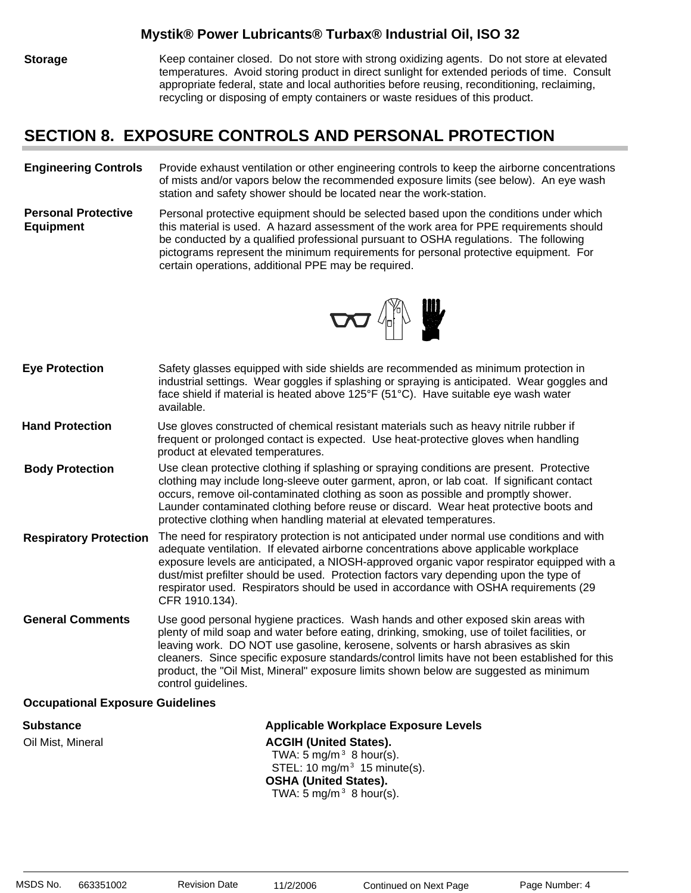**Storage** Keep container closed. Do not store with strong oxidizing agents. Do not store at elevated temperatures. Avoid storing product in direct sunlight for extended periods of time. Consult appropriate federal, state and local authorities before reusing, reconditioning, reclaiming, recycling or disposing of empty containers or waste residues of this product.

### **SECTION 8. EXPOSURE CONTROLS AND PERSONAL PROTECTION**

#### **Engineering Controls** Provide exhaust ventilation or other engineering controls to keep the airborne concentrations of mists and/or vapors below the recommended exposure limits (see below). An eye wash station and safety shower should be located near the work-station.

**Personal Protective Equipment** Personal protective equipment should be selected based upon the conditions under which this material is used. A hazard assessment of the work area for PPE requirements should be conducted by a qualified professional pursuant to OSHA regulations. The following pictograms represent the minimum requirements for personal protective equipment. For certain operations, additional PPE may be required.



| <b>Eye Protection</b>         | Safety glasses equipped with side shields are recommended as minimum protection in<br>industrial settings. Wear goggles if splashing or spraying is anticipated. Wear goggles and<br>face shield if material is heated above $125^{\circ}F$ (51 $^{\circ}C$ ). Have suitable eye wash water<br>available.                                                                                                                                                                              |
|-------------------------------|----------------------------------------------------------------------------------------------------------------------------------------------------------------------------------------------------------------------------------------------------------------------------------------------------------------------------------------------------------------------------------------------------------------------------------------------------------------------------------------|
| <b>Hand Protection</b>        | Use gloves constructed of chemical resistant materials such as heavy nitrile rubber if<br>frequent or prolonged contact is expected. Use heat-protective gloves when handling<br>product at elevated temperatures.                                                                                                                                                                                                                                                                     |
| <b>Body Protection</b>        | Use clean protective clothing if splashing or spraying conditions are present. Protective<br>clothing may include long-sleeve outer garment, apron, or lab coat. If significant contact<br>occurs, remove oil-contaminated clothing as soon as possible and promptly shower.<br>Launder contaminated clothing before reuse or discard. Wear heat protective boots and<br>protective clothing when handling material at elevated temperatures.                                          |
| <b>Respiratory Protection</b> | The need for respiratory protection is not anticipated under normal use conditions and with<br>adequate ventilation. If elevated airborne concentrations above applicable workplace<br>exposure levels are anticipated, a NIOSH-approved organic vapor respirator equipped with a<br>dust/mist prefilter should be used. Protection factors vary depending upon the type of<br>respirator used. Respirators should be used in accordance with OSHA requirements (29<br>CFR 1910.134).  |
| <b>General Comments</b>       | Use good personal hygiene practices. Wash hands and other exposed skin areas with<br>plenty of mild soap and water before eating, drinking, smoking, use of toilet facilities, or<br>leaving work. DO NOT use gasoline, kerosene, solvents or harsh abrasives as skin<br>cleaners. Since specific exposure standards/control limits have not been established for this<br>product, the "Oil Mist, Mineral" exposure limits shown below are suggested as minimum<br>control guidelines. |
|                               |                                                                                                                                                                                                                                                                                                                                                                                                                                                                                        |

### **Occupational Exposure Guidelines**

**Substance Applicable Workplace Exposure Levels** Oil Mist, Mineral **ACGIH (United States).** TWA: 5 mg/m $3$  8 hour(s). STEL: 10 mg/m $3$  15 minute(s). **OSHA (United States).** TWA:  $5 \text{ mg/m}^3$  8 hour(s).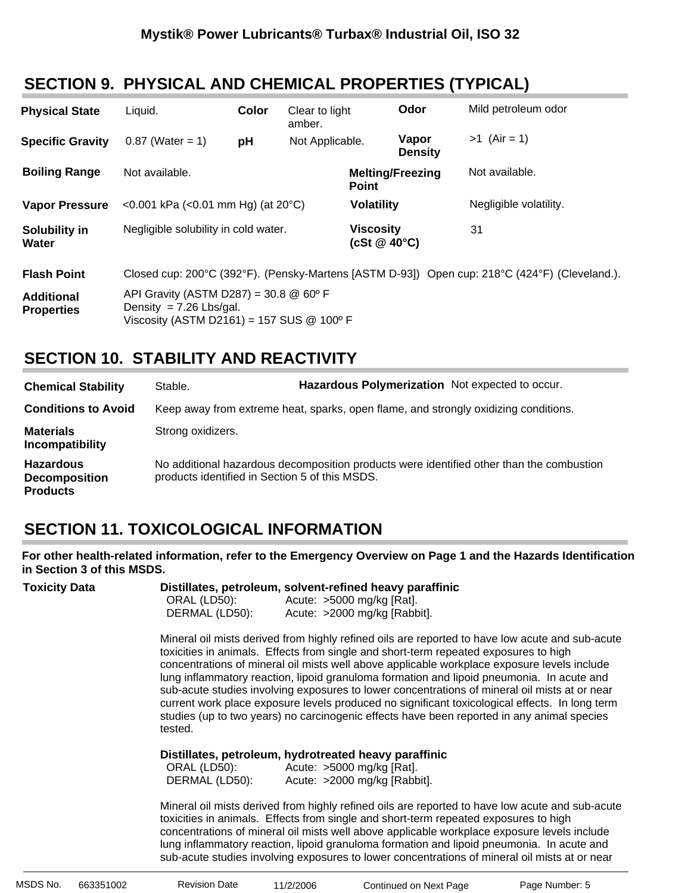# **SECTION 9. PHYSICAL AND CHEMICAL PROPERTIES (TYPICAL)**

| <b>Physical State</b>                  | Liquid.                                                                  | Color | Clear to light<br>amber. | Odor                                    | Mild petroleum odor                                                                           |
|----------------------------------------|--------------------------------------------------------------------------|-------|--------------------------|-----------------------------------------|-----------------------------------------------------------------------------------------------|
| <b>Specific Gravity</b>                | $0.87$ (Water = 1)                                                       | pH    | Not Applicable.          | Vapor<br><b>Density</b>                 | $>1$ (Air = 1)                                                                                |
| <b>Boiling Range</b>                   | Not available.                                                           |       |                          | <b>Melting/Freezing</b><br><b>Point</b> | Not available.                                                                                |
| <b>Vapor Pressure</b>                  | <0.001 kPa (<0.01 mm Hg) (at $20^{\circ}$ C)                             |       |                          | <b>Volatility</b>                       | Negligible volatility.                                                                        |
| Solubility in<br>Water                 | Negligible solubility in cold water.                                     |       |                          | <b>Viscosity</b><br>(cSt $@$ 40 $°C$ )  | 31                                                                                            |
| <b>Flash Point</b>                     |                                                                          |       |                          |                                         | Closed cup: 200°C (392°F). (Pensky-Martens [ASTM D-93]) Open cup: 218°C (424°F) (Cleveland.). |
| <b>Additional</b><br><b>Properties</b> | API Gravity (ASTM D287) = 30.8 $@$ 60 $°$ F<br>Density = $7.26$ Lbs/gal. |       |                          |                                         |                                                                                               |

# **SECTION 10. STABILITY AND REACTIVITY**

Viscosity (ASTM D2161) = 157 SUS @ 100º F

| <b>Chemical Stability</b>                                   | Stable.                                        | Hazardous Polymerization Not expected to occur.                                          |
|-------------------------------------------------------------|------------------------------------------------|------------------------------------------------------------------------------------------|
| <b>Conditions to Avoid</b>                                  |                                                | Keep away from extreme heat, sparks, open flame, and strongly oxidizing conditions.      |
| <b>Materials</b><br>Incompatibility                         | Strong oxidizers.                              |                                                                                          |
| <b>Hazardous</b><br><b>Decomposition</b><br><b>Products</b> | products identified in Section 5 of this MSDS. | No additional hazardous decomposition products were identified other than the combustion |

# **SECTION 11. TOXICOLOGICAL INFORMATION**

**For other health-related information, refer to the Emergency Overview on Page 1 and the Hazards Identification in Section 3 of this MSDS.**

| <b>Toxicity Data</b> | Distillates, petroleum, solvent-refined heavy paraffinic<br>ORAL (LD50):<br>Acute: $>5000$ mg/kg [Rat].<br>DERMAL (LD50):<br>Acute: >2000 mg/kg [Rabbit].                                                                                                                                                                                                                                                                                                                                                                                                                                                                                                                                       |
|----------------------|-------------------------------------------------------------------------------------------------------------------------------------------------------------------------------------------------------------------------------------------------------------------------------------------------------------------------------------------------------------------------------------------------------------------------------------------------------------------------------------------------------------------------------------------------------------------------------------------------------------------------------------------------------------------------------------------------|
|                      | Mineral oil mists derived from highly refined oils are reported to have low acute and sub-acute<br>toxicities in animals. Effects from single and short-term repeated exposures to high<br>concentrations of mineral oil mists well above applicable workplace exposure levels include<br>lung inflammatory reaction, lipoid granuloma formation and lipoid pneumonia. In acute and<br>sub-acute studies involving exposures to lower concentrations of mineral oil mists at or near<br>current work place exposure levels produced no significant toxicological effects. In long term<br>studies (up to two years) no carcinogenic effects have been reported in any animal species<br>tested. |
|                      | Distillates, petroleum, hydrotreated heavy paraffinic<br>ORAL (LD50): Acute: >5000 mg/kg [Rat].<br>DERMAL (LD50): Acute: >2000 mg/kg [Rabbit].                                                                                                                                                                                                                                                                                                                                                                                                                                                                                                                                                  |
|                      | Mineral oil mists derived from highly refined oils are reported to have low acute and sub-acute<br>toxicities in animals. Effects from single and short-term repeated exposures to high<br>concentrations of mineral oil mists well above applicable workplace exposure levels include<br>lung inflammatory reaction, lipoid granuloma formation and lipoid pneumonia. In acute and<br>sub-acute studies involving exposures to lower concentrations of mineral oil mists at or near                                                                                                                                                                                                            |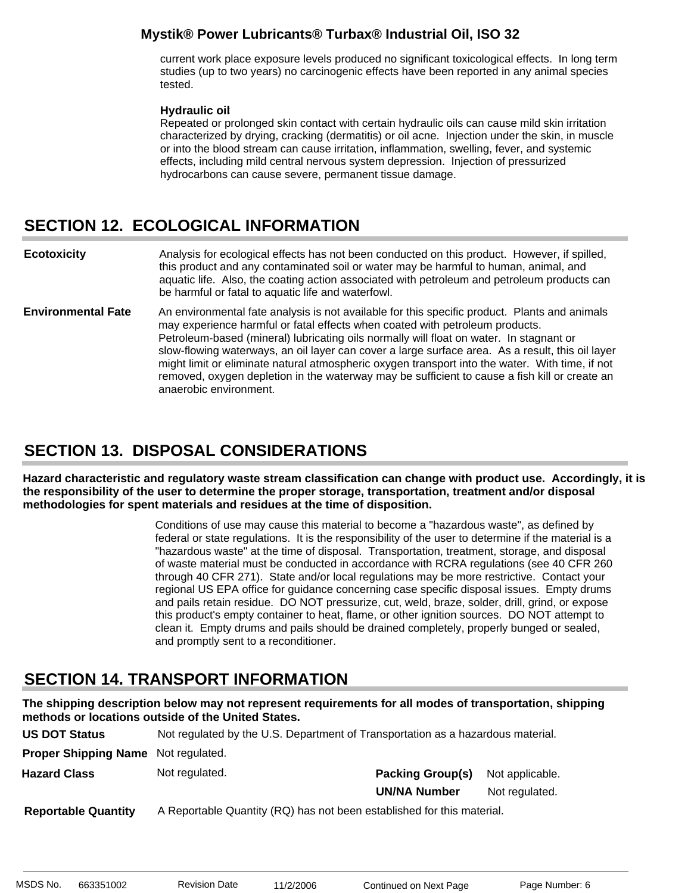current work place exposure levels produced no significant toxicological effects. In long term studies (up to two years) no carcinogenic effects have been reported in any animal species tested.

### **Hydraulic oil**:

Repeated or prolonged skin contact with certain hydraulic oils can cause mild skin irritation characterized by drying, cracking (dermatitis) or oil acne. Injection under the skin, in muscle or into the blood stream can cause irritation, inflammation, swelling, fever, and systemic effects, including mild central nervous system depression. Injection of pressurized hydrocarbons can cause severe, permanent tissue damage.

# **SECTION 12. ECOLOGICAL INFORMATION**

Analysis for ecological effects has not been conducted on this product. However, if spilled, this product and any contaminated soil or water may be harmful to human, animal, and aquatic life. Also, the coating action associated with petroleum and petroleum products can be harmful or fatal to aquatic life and waterfowl. **Ecotoxicity**

An environmental fate analysis is not available for this specific product. Plants and animals may experience harmful or fatal effects when coated with petroleum products. Petroleum-based (mineral) lubricating oils normally will float on water. In stagnant or slow-flowing waterways, an oil layer can cover a large surface area. As a result, this oil layer might limit or eliminate natural atmospheric oxygen transport into the water. With time, if not removed, oxygen depletion in the waterway may be sufficient to cause a fish kill or create an anaerobic environment. **Environmental Fate**

# **SECTION 13. DISPOSAL CONSIDERATIONS**

**Hazard characteristic and regulatory waste stream classification can change with product use. Accordingly, it is the responsibility of the user to determine the proper storage, transportation, treatment and/or disposal methodologies for spent materials and residues at the time of disposition.**

> Conditions of use may cause this material to become a "hazardous waste", as defined by federal or state regulations. It is the responsibility of the user to determine if the material is a "hazardous waste" at the time of disposal. Transportation, treatment, storage, and disposal of waste material must be conducted in accordance with RCRA regulations (see 40 CFR 260 through 40 CFR 271). State and/or local regulations may be more restrictive. Contact your regional US EPA office for guidance concerning case specific disposal issues. Empty drums and pails retain residue. DO NOT pressurize, cut, weld, braze, solder, drill, grind, or expose this product's empty container to heat, flame, or other ignition sources. DO NOT attempt to clean it. Empty drums and pails should be drained completely, properly bunged or sealed, and promptly sent to a reconditioner.

### **SECTION 14. TRANSPORT INFORMATION**

**The shipping description below may not represent requirements for all modes of transportation, shipping methods or locations outside of the United States.**

| <b>US DOT Status</b>                       | Not regulated by the U.S. Department of Transportation as a hazardous material. |                         |                 |
|--------------------------------------------|---------------------------------------------------------------------------------|-------------------------|-----------------|
| <b>Proper Shipping Name</b> Not regulated. |                                                                                 |                         |                 |
| <b>Hazard Class</b>                        | Not regulated.                                                                  | <b>Packing Group(s)</b> | Not applicable. |
|                                            |                                                                                 | <b>UN/NA Number</b>     | Not regulated.  |
| <b>Reportable Quantity</b>                 | A Reportable Quantity (RQ) has not been established for this material.          |                         |                 |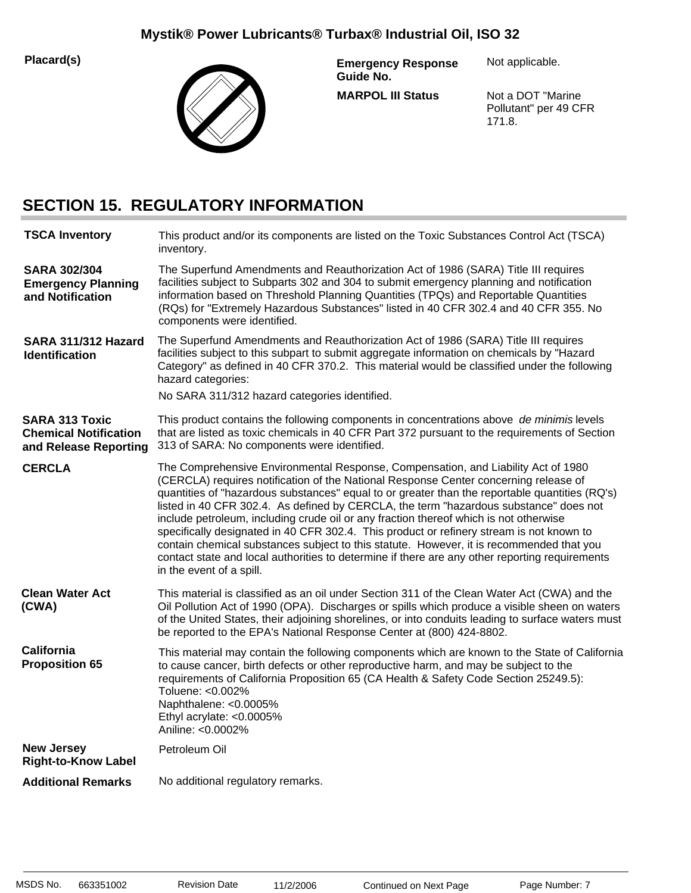**Placard(s)**



**MARPOL III Status Emergency Response Guide No.**

Not applicable.

Not a DOT "Marine Pollutant" per 49 CFR 171.8.

# **SECTION 15. REGULATORY INFORMATION**

| <b>TSCA Inventory</b>                                                          | This product and/or its components are listed on the Toxic Substances Control Act (TSCA)<br>inventory.                                                                                                                                                                                                                                                                                                                                                                                                                                                                                                                                                                                                                                                                              |
|--------------------------------------------------------------------------------|-------------------------------------------------------------------------------------------------------------------------------------------------------------------------------------------------------------------------------------------------------------------------------------------------------------------------------------------------------------------------------------------------------------------------------------------------------------------------------------------------------------------------------------------------------------------------------------------------------------------------------------------------------------------------------------------------------------------------------------------------------------------------------------|
| <b>SARA 302/304</b><br><b>Emergency Planning</b><br>and Notification           | The Superfund Amendments and Reauthorization Act of 1986 (SARA) Title III requires<br>facilities subject to Subparts 302 and 304 to submit emergency planning and notification<br>information based on Threshold Planning Quantities (TPQs) and Reportable Quantities<br>(RQs) for "Extremely Hazardous Substances" listed in 40 CFR 302.4 and 40 CFR 355. No<br>components were identified.                                                                                                                                                                                                                                                                                                                                                                                        |
| SARA 311/312 Hazard<br><b>Identification</b>                                   | The Superfund Amendments and Reauthorization Act of 1986 (SARA) Title III requires<br>facilities subject to this subpart to submit aggregate information on chemicals by "Hazard<br>Category" as defined in 40 CFR 370.2. This material would be classified under the following<br>hazard categories:<br>No SARA 311/312 hazard categories identified.                                                                                                                                                                                                                                                                                                                                                                                                                              |
|                                                                                |                                                                                                                                                                                                                                                                                                                                                                                                                                                                                                                                                                                                                                                                                                                                                                                     |
| <b>SARA 313 Toxic</b><br><b>Chemical Notification</b><br>and Release Reporting | This product contains the following components in concentrations above de minimis levels<br>that are listed as toxic chemicals in 40 CFR Part 372 pursuant to the requirements of Section<br>313 of SARA: No components were identified.                                                                                                                                                                                                                                                                                                                                                                                                                                                                                                                                            |
| <b>CERCLA</b>                                                                  | The Comprehensive Environmental Response, Compensation, and Liability Act of 1980<br>(CERCLA) requires notification of the National Response Center concerning release of<br>quantities of "hazardous substances" equal to or greater than the reportable quantities (RQ's)<br>listed in 40 CFR 302.4. As defined by CERCLA, the term "hazardous substance" does not<br>include petroleum, including crude oil or any fraction thereof which is not otherwise<br>specifically designated in 40 CFR 302.4. This product or refinery stream is not known to<br>contain chemical substances subject to this statute. However, it is recommended that you<br>contact state and local authorities to determine if there are any other reporting requirements<br>in the event of a spill. |
| <b>Clean Water Act</b><br>(CWA)                                                | This material is classified as an oil under Section 311 of the Clean Water Act (CWA) and the<br>Oil Pollution Act of 1990 (OPA). Discharges or spills which produce a visible sheen on waters<br>of the United States, their adjoining shorelines, or into conduits leading to surface waters must<br>be reported to the EPA's National Response Center at (800) 424-8802.                                                                                                                                                                                                                                                                                                                                                                                                          |
| <b>California</b><br><b>Proposition 65</b>                                     | This material may contain the following components which are known to the State of California<br>to cause cancer, birth defects or other reproductive harm, and may be subject to the<br>requirements of California Proposition 65 (CA Health & Safety Code Section 25249.5):<br>Toluene: <0.002%<br>Naphthalene: <0.0005%<br>Ethyl acrylate: <0.0005%<br>Aniline: <0.0002%                                                                                                                                                                                                                                                                                                                                                                                                         |
| <b>New Jersey</b><br><b>Right-to-Know Label</b>                                | Petroleum Oil                                                                                                                                                                                                                                                                                                                                                                                                                                                                                                                                                                                                                                                                                                                                                                       |
| <b>Additional Remarks</b>                                                      | No additional regulatory remarks.                                                                                                                                                                                                                                                                                                                                                                                                                                                                                                                                                                                                                                                                                                                                                   |